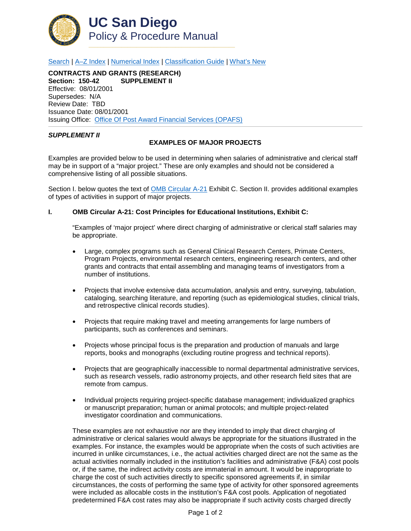

[Search](http://adminrecords.ucsd.edu/ppm/index.html) | [A–Z Index](http://adminrecords.ucsd.edu/ppm/ppmindex.html) | [Numerical Index](http://adminrecords.ucsd.edu/ppm/numerical.html) | [Classification Guide](http://adminrecords.ucsd.edu/ppm/alphabetical.html) | [What's New](http://adminrecords.ucsd.edu/ppm/whatsnew.html)

**CONTRACTS AND GRANTS (RESEARCH) Section: 150-42 SUPPLEMENT II** Effective: 08/01/2001 Supersedes: N/A Review Date: TBD Issuance Date: 08/01/2001 Issuing Office:[Office Of Post Award Financial Services \(OPAFS\)](http://blink.ucsd.edu/sponsor/BFS/divisions/opafs/)

## *SUPPLEMENT II*

## **EXAMPLES OF MAJOR PROJECTS**

Examples are provided below to be used in determining when salaries of administrative and clerical staff may be in support of a "major project." These are only examples and should not be considered a comprehensive listing of all possible situations.

Section I. below quotes the text of [OMB Circular A-21](http://www.whitehouse.gov/omb/circulars_a021_2004) Exhibit C. Section II. provides additional examples of types of activities in support of major projects.

## **I. OMB Circular A-21: Cost Principles for Educational Institutions, Exhibit C:**

"Examples of 'major project' where direct charging of administrative or clerical staff salaries may be appropriate.

- Large, complex programs such as General Clinical Research Centers, Primate Centers, Program Projects, environmental research centers, engineering research centers, and other grants and contracts that entail assembling and managing teams of investigators from a number of institutions.
- Projects that involve extensive data accumulation, analysis and entry, surveying, tabulation, cataloging, searching literature, and reporting (such as epidemiological studies, clinical trials, and retrospective clinical records studies).
- Projects that require making travel and meeting arrangements for large numbers of participants, such as conferences and seminars.
- Projects whose principal focus is the preparation and production of manuals and large reports, books and monographs (excluding routine progress and technical reports).
- Projects that are geographically inaccessible to normal departmental administrative services, such as research vessels, radio astronomy projects, and other research field sites that are remote from campus.
- Individual projects requiring project-specific database management: individualized graphics or manuscript preparation; human or animal protocols; and multiple project-related investigator coordination and communications.

These examples are not exhaustive nor are they intended to imply that direct charging of administrative or clerical salaries would always be appropriate for the situations illustrated in the examples. For instance, the examples would be appropriate when the costs of such activities are incurred in unlike circumstances, i.e., the actual activities charged direct are not the same as the actual activities normally included in the institution's facilities and administrative (F&A) cost pools or, if the same, the indirect activity costs are immaterial in amount. It would be inappropriate to charge the cost of such activities directly to specific sponsored agreements if, in similar circumstances, the costs of performing the same type of activity for other sponsored agreements were included as allocable costs in the institution's F&A cost pools. Application of negotiated predetermined F&A cost rates may also be inappropriate if such activity costs charged directly